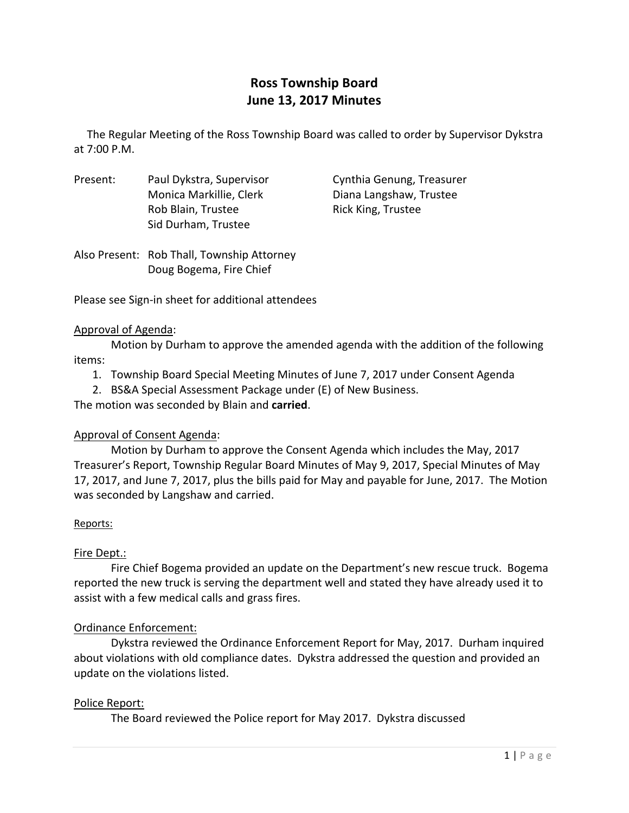# **Ross Township Board June 13, 2017 Minutes**

The Regular Meeting of the Ross Township Board was called to order by Supervisor Dykstra at 7:00 P.M.

Present: Paul Dykstra, Supervisor Cynthia Genung, Treasurer Monica Markillie, Clerk Diana Langshaw, Trustee Rob Blain, Trustee **Blain**, Trustee Sid Durham, Trustee

Also Present: Rob Thall, Township Attorney Doug Bogema, Fire Chief

Please see Sign‐in sheet for additional attendees

#### Approval of Agenda:

Motion by Durham to approve the amended agenda with the addition of the following items:

- 1. Township Board Special Meeting Minutes of June 7, 2017 under Consent Agenda
- 2. BS&A Special Assessment Package under (E) of New Business.

The motion was seconded by Blain and **carried**.

## Approval of Consent Agenda:

Motion by Durham to approve the Consent Agenda which includes the May, 2017 Treasurer's Report, Township Regular Board Minutes of May 9, 2017, Special Minutes of May 17, 2017, and June 7, 2017, plus the bills paid for May and payable for June, 2017. The Motion was seconded by Langshaw and carried.

## Reports:

## Fire Dept.:

Fire Chief Bogema provided an update on the Department's new rescue truck. Bogema reported the new truck is serving the department well and stated they have already used it to assist with a few medical calls and grass fires.

## Ordinance Enforcement:

Dykstra reviewed the Ordinance Enforcement Report for May, 2017. Durham inquired about violations with old compliance dates. Dykstra addressed the question and provided an update on the violations listed.

## Police Report:

The Board reviewed the Police report for May 2017. Dykstra discussed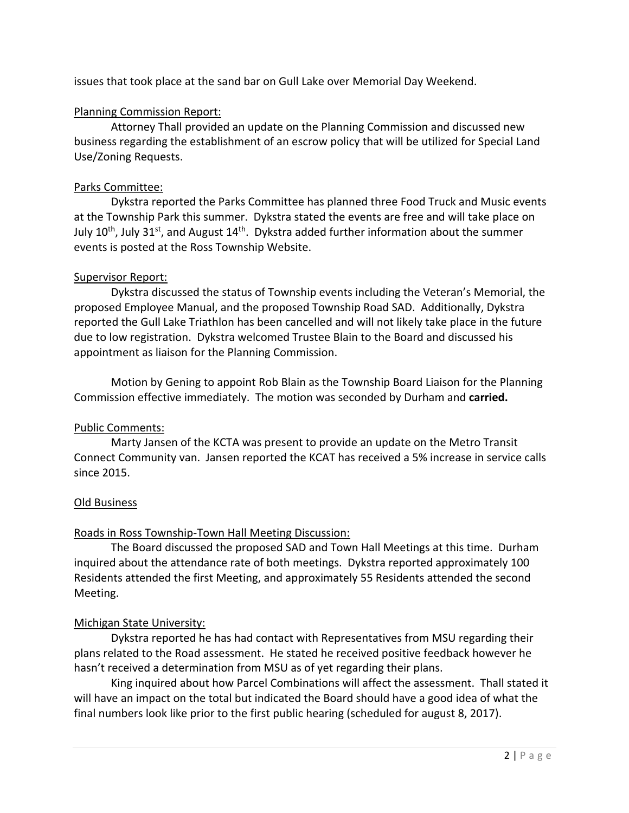issues that took place at the sand bar on Gull Lake over Memorial Day Weekend.

#### Planning Commission Report:

Attorney Thall provided an update on the Planning Commission and discussed new business regarding the establishment of an escrow policy that will be utilized for Special Land Use/Zoning Requests.

#### Parks Committee:

Dykstra reported the Parks Committee has planned three Food Truck and Music events at the Township Park this summer. Dykstra stated the events are free and will take place on July 10<sup>th</sup>, July 31<sup>st</sup>, and August 14<sup>th</sup>. Dykstra added further information about the summer events is posted at the Ross Township Website.

#### Supervisor Report:

Dykstra discussed the status of Township events including the Veteran's Memorial, the proposed Employee Manual, and the proposed Township Road SAD. Additionally, Dykstra reported the Gull Lake Triathlon has been cancelled and will not likely take place in the future due to low registration. Dykstra welcomed Trustee Blain to the Board and discussed his appointment as liaison for the Planning Commission.

Motion by Gening to appoint Rob Blain as the Township Board Liaison for the Planning Commission effective immediately. The motion was seconded by Durham and **carried.**

## Public Comments:

Marty Jansen of the KCTA was present to provide an update on the Metro Transit Connect Community van. Jansen reported the KCAT has received a 5% increase in service calls since 2015.

#### Old Business

## Roads in Ross Township‐Town Hall Meeting Discussion:

The Board discussed the proposed SAD and Town Hall Meetings at this time. Durham inquired about the attendance rate of both meetings. Dykstra reported approximately 100 Residents attended the first Meeting, and approximately 55 Residents attended the second Meeting.

## Michigan State University:

Dykstra reported he has had contact with Representatives from MSU regarding their plans related to the Road assessment. He stated he received positive feedback however he hasn't received a determination from MSU as of yet regarding their plans.

King inquired about how Parcel Combinations will affect the assessment. Thall stated it will have an impact on the total but indicated the Board should have a good idea of what the final numbers look like prior to the first public hearing (scheduled for august 8, 2017).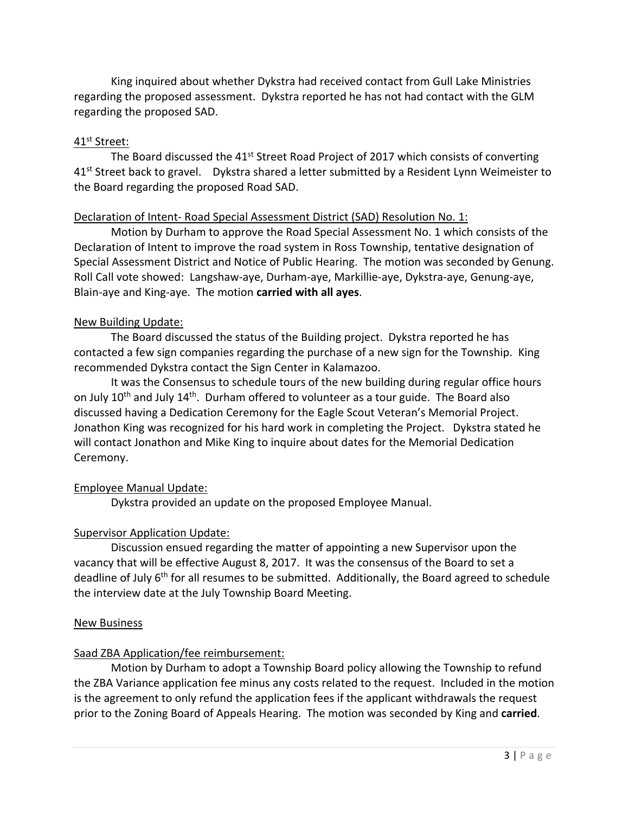King inquired about whether Dykstra had received contact from Gull Lake Ministries regarding the proposed assessment. Dykstra reported he has not had contact with the GLM regarding the proposed SAD.

#### 41st Street:

The Board discussed the 41<sup>st</sup> Street Road Project of 2017 which consists of converting 41<sup>st</sup> Street back to gravel. Dykstra shared a letter submitted by a Resident Lynn Weimeister to the Board regarding the proposed Road SAD.

#### Declaration of Intent‐ Road Special Assessment District (SAD) Resolution No. 1:

Motion by Durham to approve the Road Special Assessment No. 1 which consists of the Declaration of Intent to improve the road system in Ross Township, tentative designation of Special Assessment District and Notice of Public Hearing. The motion was seconded by Genung. Roll Call vote showed: Langshaw‐aye, Durham‐aye, Markillie‐aye, Dykstra‐aye, Genung‐aye, Blain‐aye and King‐aye. The motion **carried with all ayes**.

#### New Building Update:

The Board discussed the status of the Building project. Dykstra reported he has contacted a few sign companies regarding the purchase of a new sign for the Township. King recommended Dykstra contact the Sign Center in Kalamazoo.

It was the Consensus to schedule tours of the new building during regular office hours on July  $10^{th}$  and July  $14^{th}$ . Durham offered to volunteer as a tour guide. The Board also discussed having a Dedication Ceremony for the Eagle Scout Veteran's Memorial Project. Jonathon King was recognized for his hard work in completing the Project. Dykstra stated he will contact Jonathon and Mike King to inquire about dates for the Memorial Dedication Ceremony.

## Employee Manual Update:

Dykstra provided an update on the proposed Employee Manual.

## Supervisor Application Update:

Discussion ensued regarding the matter of appointing a new Supervisor upon the vacancy that will be effective August 8, 2017. It was the consensus of the Board to set a deadline of July 6<sup>th</sup> for all resumes to be submitted. Additionally, the Board agreed to schedule the interview date at the July Township Board Meeting.

#### New Business

## Saad ZBA Application/fee reimbursement:

Motion by Durham to adopt a Township Board policy allowing the Township to refund the ZBA Variance application fee minus any costs related to the request. Included in the motion is the agreement to only refund the application fees if the applicant withdrawals the request prior to the Zoning Board of Appeals Hearing. The motion was seconded by King and **carried**.